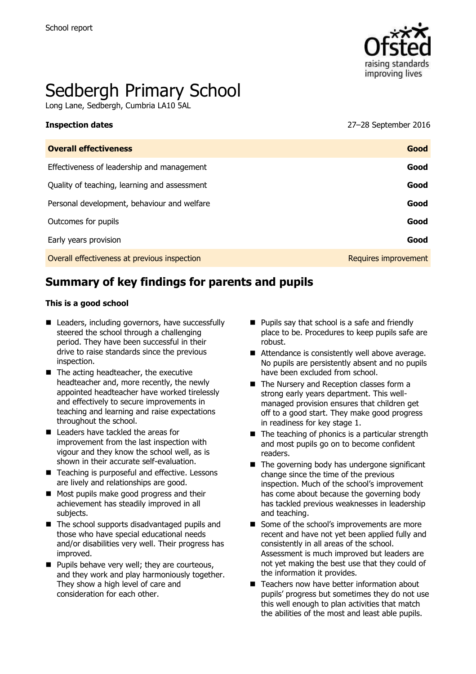

# Sedbergh Primary School

Long Lane, Sedbergh, Cumbria LA10 5AL

**Inspection dates** 27–28 September 2016

| <b>Overall effectiveness</b>                 | Good                 |
|----------------------------------------------|----------------------|
| Effectiveness of leadership and management   | Good                 |
| Quality of teaching, learning and assessment | Good                 |
| Personal development, behaviour and welfare  | Good                 |
| Outcomes for pupils                          | Good                 |
| Early years provision                        | Good                 |
| Overall effectiveness at previous inspection | Requires improvement |

# **Summary of key findings for parents and pupils**

#### **This is a good school**

- Leaders, including governors, have successfully steered the school through a challenging period. They have been successful in their drive to raise standards since the previous inspection.
- $\blacksquare$  The acting headteacher, the executive headteacher and, more recently, the newly appointed headteacher have worked tirelessly and effectively to secure improvements in teaching and learning and raise expectations throughout the school.
- Leaders have tackled the areas for improvement from the last inspection with vigour and they know the school well, as is shown in their accurate self-evaluation.
- Teaching is purposeful and effective. Lessons are lively and relationships are good.
- Most pupils make good progress and their achievement has steadily improved in all subjects.
- The school supports disadvantaged pupils and those who have special educational needs and/or disabilities very well. Their progress has improved.
- **Pupils behave very well; they are courteous,** and they work and play harmoniously together. They show a high level of care and consideration for each other.
- **Pupils say that school is a safe and friendly** place to be. Procedures to keep pupils safe are robust.
- Attendance is consistently well above average. No pupils are persistently absent and no pupils have been excluded from school.
- The Nursery and Reception classes form a strong early years department. This wellmanaged provision ensures that children get off to a good start. They make good progress in readiness for key stage 1.
- $\blacksquare$  The teaching of phonics is a particular strength and most pupils go on to become confident readers.
- $\blacksquare$  The governing body has undergone significant change since the time of the previous inspection. Much of the school's improvement has come about because the governing body has tackled previous weaknesses in leadership and teaching.
- Some of the school's improvements are more recent and have not yet been applied fully and consistently in all areas of the school. Assessment is much improved but leaders are not yet making the best use that they could of the information it provides.
- Teachers now have better information about pupils' progress but sometimes they do not use this well enough to plan activities that match the abilities of the most and least able pupils.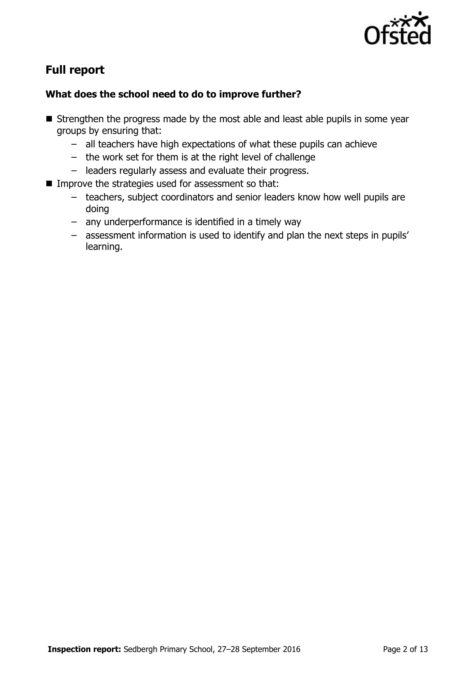

# **Full report**

### **What does the school need to do to improve further?**

- **E** Strengthen the progress made by the most able and least able pupils in some year groups by ensuring that:
	- all teachers have high expectations of what these pupils can achieve
	- the work set for them is at the right level of challenge
	- leaders regularly assess and evaluate their progress.
- **IMPROVE the strategies used for assessment so that:** 
	- teachers, subject coordinators and senior leaders know how well pupils are doing
	- any underperformance is identified in a timely way
	- assessment information is used to identify and plan the next steps in pupils' learning.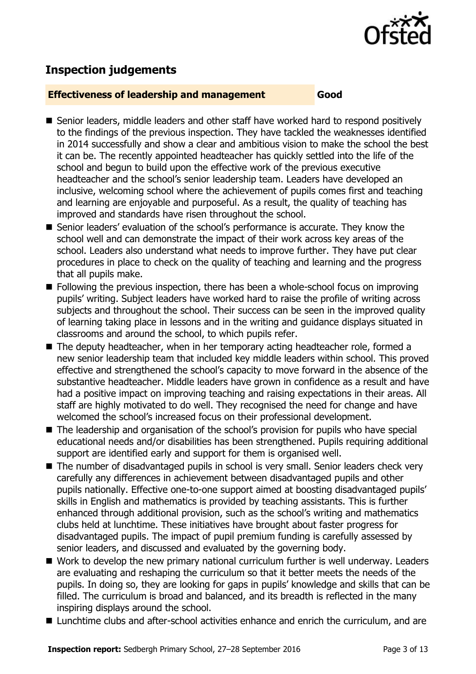

# **Inspection judgements**

#### **Effectiveness of leadership and management Good**

- Senior leaders, middle leaders and other staff have worked hard to respond positively to the findings of the previous inspection. They have tackled the weaknesses identified in 2014 successfully and show a clear and ambitious vision to make the school the best it can be. The recently appointed headteacher has quickly settled into the life of the school and begun to build upon the effective work of the previous executive headteacher and the school's senior leadership team. Leaders have developed an inclusive, welcoming school where the achievement of pupils comes first and teaching and learning are enjoyable and purposeful. As a result, the quality of teaching has improved and standards have risen throughout the school.
- Senior leaders' evaluation of the school's performance is accurate. They know the school well and can demonstrate the impact of their work across key areas of the school. Leaders also understand what needs to improve further. They have put clear procedures in place to check on the quality of teaching and learning and the progress that all pupils make.
- Following the previous inspection, there has been a whole-school focus on improving pupils' writing. Subject leaders have worked hard to raise the profile of writing across subjects and throughout the school. Their success can be seen in the improved quality of learning taking place in lessons and in the writing and guidance displays situated in classrooms and around the school, to which pupils refer.
- The deputy headteacher, when in her temporary acting headteacher role, formed a new senior leadership team that included key middle leaders within school. This proved effective and strengthened the school's capacity to move forward in the absence of the substantive headteacher. Middle leaders have grown in confidence as a result and have had a positive impact on improving teaching and raising expectations in their areas. All staff are highly motivated to do well. They recognised the need for change and have welcomed the school's increased focus on their professional development.
- The leadership and organisation of the school's provision for pupils who have special educational needs and/or disabilities has been strengthened. Pupils requiring additional support are identified early and support for them is organised well.
- The number of disadvantaged pupils in school is very small. Senior leaders check very carefully any differences in achievement between disadvantaged pupils and other pupils nationally. Effective one-to-one support aimed at boosting disadvantaged pupils' skills in English and mathematics is provided by teaching assistants. This is further enhanced through additional provision, such as the school's writing and mathematics clubs held at lunchtime. These initiatives have brought about faster progress for disadvantaged pupils. The impact of pupil premium funding is carefully assessed by senior leaders, and discussed and evaluated by the governing body.
- Work to develop the new primary national curriculum further is well underway. Leaders are evaluating and reshaping the curriculum so that it better meets the needs of the pupils. In doing so, they are looking for gaps in pupils' knowledge and skills that can be filled. The curriculum is broad and balanced, and its breadth is reflected in the many inspiring displays around the school.
- Lunchtime clubs and after-school activities enhance and enrich the curriculum, and are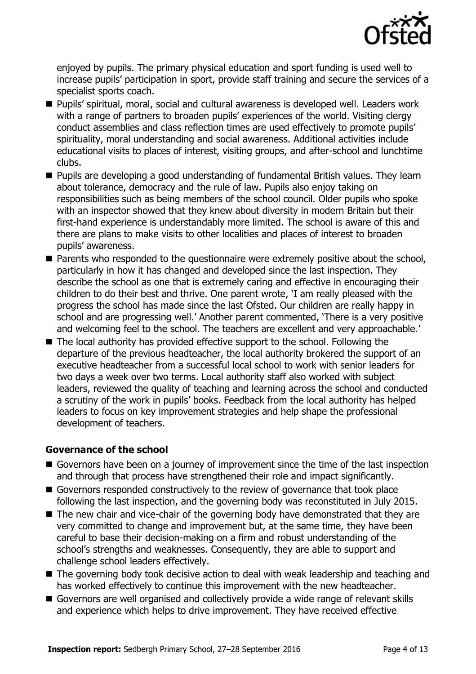

enjoyed by pupils. The primary physical education and sport funding is used well to increase pupils' participation in sport, provide staff training and secure the services of a specialist sports coach.

- Pupils' spiritual, moral, social and cultural awareness is developed well. Leaders work with a range of partners to broaden pupils' experiences of the world. Visiting clergy conduct assemblies and class reflection times are used effectively to promote pupils' spirituality, moral understanding and social awareness. Additional activities include educational visits to places of interest, visiting groups, and after-school and lunchtime clubs.
- **Pupils are developing a good understanding of fundamental British values. They learn** about tolerance, democracy and the rule of law. Pupils also enjoy taking on responsibilities such as being members of the school council. Older pupils who spoke with an inspector showed that they knew about diversity in modern Britain but their first-hand experience is understandably more limited. The school is aware of this and there are plans to make visits to other localities and places of interest to broaden pupils' awareness.
- Parents who responded to the questionnaire were extremely positive about the school, particularly in how it has changed and developed since the last inspection. They describe the school as one that is extremely caring and effective in encouraging their children to do their best and thrive. One parent wrote, 'I am really pleased with the progress the school has made since the last Ofsted. Our children are really happy in school and are progressing well.' Another parent commented, 'There is a very positive and welcoming feel to the school. The teachers are excellent and very approachable.'
- The local authority has provided effective support to the school. Following the departure of the previous headteacher, the local authority brokered the support of an executive headteacher from a successful local school to work with senior leaders for two days a week over two terms. Local authority staff also worked with subject leaders, reviewed the quality of teaching and learning across the school and conducted a scrutiny of the work in pupils' books. Feedback from the local authority has helped leaders to focus on key improvement strategies and help shape the professional development of teachers.

### **Governance of the school**

- Governors have been on a journey of improvement since the time of the last inspection and through that process have strengthened their role and impact significantly.
- Governors responded constructively to the review of governance that took place following the last inspection, and the governing body was reconstituted in July 2015.
- The new chair and vice-chair of the governing body have demonstrated that they are very committed to change and improvement but, at the same time, they have been careful to base their decision-making on a firm and robust understanding of the school's strengths and weaknesses. Consequently, they are able to support and challenge school leaders effectively.
- The governing body took decisive action to deal with weak leadership and teaching and has worked effectively to continue this improvement with the new headteacher.
- Governors are well organised and collectively provide a wide range of relevant skills and experience which helps to drive improvement. They have received effective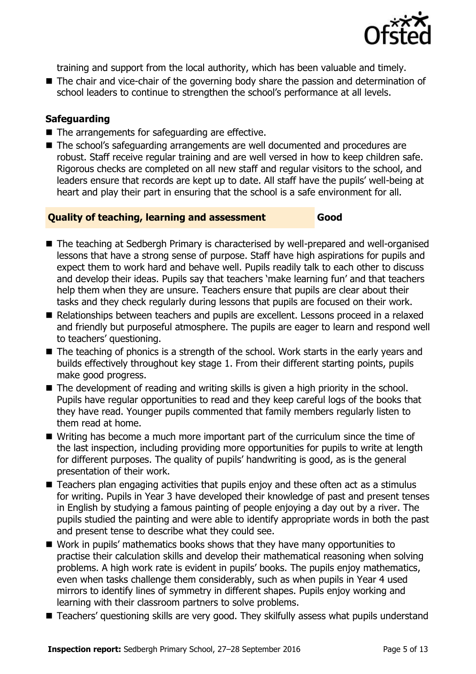

training and support from the local authority, which has been valuable and timely.

■ The chair and vice-chair of the governing body share the passion and determination of school leaders to continue to strengthen the school's performance at all levels.

### **Safeguarding**

- $\blacksquare$  The arrangements for safeguarding are effective.
- The school's safeguarding arrangements are well documented and procedures are robust. Staff receive regular training and are well versed in how to keep children safe. Rigorous checks are completed on all new staff and regular visitors to the school, and leaders ensure that records are kept up to date. All staff have the pupils' well-being at heart and play their part in ensuring that the school is a safe environment for all.

### **Quality of teaching, learning and assessment Good**

- The teaching at Sedbergh Primary is characterised by well-prepared and well-organised lessons that have a strong sense of purpose. Staff have high aspirations for pupils and expect them to work hard and behave well. Pupils readily talk to each other to discuss and develop their ideas. Pupils say that teachers 'make learning fun' and that teachers help them when they are unsure. Teachers ensure that pupils are clear about their tasks and they check regularly during lessons that pupils are focused on their work.
- Relationships between teachers and pupils are excellent. Lessons proceed in a relaxed and friendly but purposeful atmosphere. The pupils are eager to learn and respond well to teachers' questioning.
- The teaching of phonics is a strength of the school. Work starts in the early years and builds effectively throughout key stage 1. From their different starting points, pupils make good progress.
- The development of reading and writing skills is given a high priority in the school. Pupils have regular opportunities to read and they keep careful logs of the books that they have read. Younger pupils commented that family members regularly listen to them read at home.
- Writing has become a much more important part of the curriculum since the time of the last inspection, including providing more opportunities for pupils to write at length for different purposes. The quality of pupils' handwriting is good, as is the general presentation of their work.
- Teachers plan engaging activities that pupils enjoy and these often act as a stimulus for writing. Pupils in Year 3 have developed their knowledge of past and present tenses in English by studying a famous painting of people enjoying a day out by a river. The pupils studied the painting and were able to identify appropriate words in both the past and present tense to describe what they could see.
- Work in pupils' mathematics books shows that they have many opportunities to practise their calculation skills and develop their mathematical reasoning when solving problems. A high work rate is evident in pupils' books. The pupils enjoy mathematics, even when tasks challenge them considerably, such as when pupils in Year 4 used mirrors to identify lines of symmetry in different shapes. Pupils enjoy working and learning with their classroom partners to solve problems.
- Teachers' questioning skills are very good. They skilfully assess what pupils understand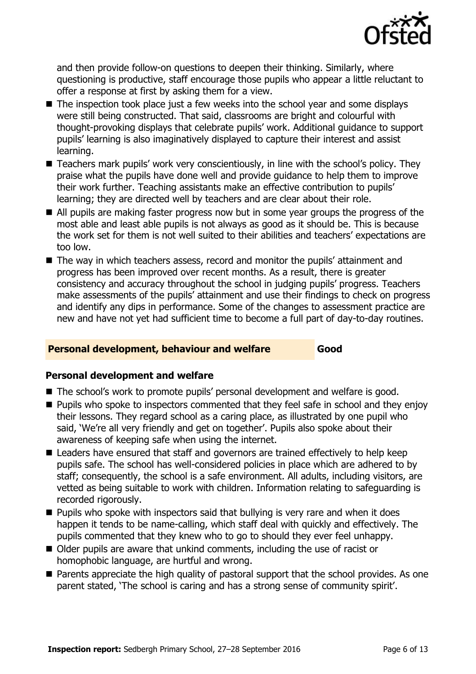

and then provide follow-on questions to deepen their thinking. Similarly, where questioning is productive, staff encourage those pupils who appear a little reluctant to offer a response at first by asking them for a view.

- The inspection took place just a few weeks into the school year and some displays were still being constructed. That said, classrooms are bright and colourful with thought-provoking displays that celebrate pupils' work. Additional guidance to support pupils' learning is also imaginatively displayed to capture their interest and assist learning.
- Teachers mark pupils' work very conscientiously, in line with the school's policy. They praise what the pupils have done well and provide guidance to help them to improve their work further. Teaching assistants make an effective contribution to pupils' learning; they are directed well by teachers and are clear about their role.
- All pupils are making faster progress now but in some year groups the progress of the most able and least able pupils is not always as good as it should be. This is because the work set for them is not well suited to their abilities and teachers' expectations are too low.
- The way in which teachers assess, record and monitor the pupils' attainment and progress has been improved over recent months. As a result, there is greater consistency and accuracy throughout the school in judging pupils' progress. Teachers make assessments of the pupils' attainment and use their findings to check on progress and identify any dips in performance. Some of the changes to assessment practice are new and have not yet had sufficient time to become a full part of day-to-day routines.

#### **Personal development, behaviour and welfare Good**

### **Personal development and welfare**

- The school's work to promote pupils' personal development and welfare is good.
- **Pupils who spoke to inspectors commented that they feel safe in school and they enjoy** their lessons. They regard school as a caring place, as illustrated by one pupil who said, 'We're all very friendly and get on together'. Pupils also spoke about their awareness of keeping safe when using the internet.
- Leaders have ensured that staff and governors are trained effectively to help keep pupils safe. The school has well-considered policies in place which are adhered to by staff; consequently, the school is a safe environment. All adults, including visitors, are vetted as being suitable to work with children. Information relating to safeguarding is recorded rigorously.
- $\blacksquare$  Pupils who spoke with inspectors said that bullying is very rare and when it does happen it tends to be name-calling, which staff deal with quickly and effectively. The pupils commented that they knew who to go to should they ever feel unhappy.
- Older pupils are aware that unkind comments, including the use of racist or homophobic language, are hurtful and wrong.
- **Parents appreciate the high quality of pastoral support that the school provides. As one** parent stated, 'The school is caring and has a strong sense of community spirit'.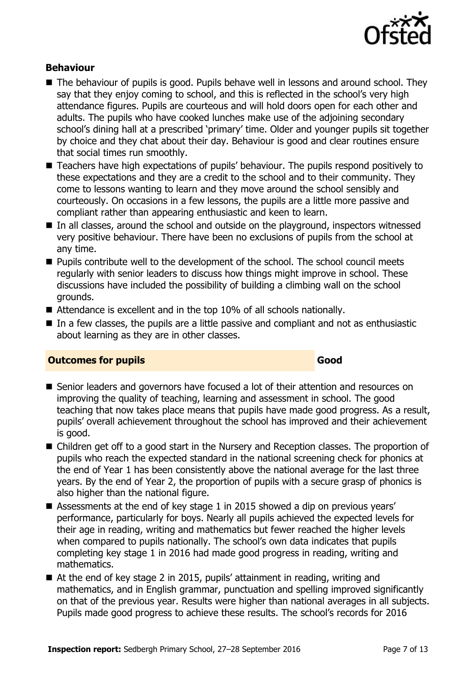

#### **Behaviour**

- The behaviour of pupils is good. Pupils behave well in lessons and around school. They say that they enjoy coming to school, and this is reflected in the school's very high attendance figures. Pupils are courteous and will hold doors open for each other and adults. The pupils who have cooked lunches make use of the adjoining secondary school's dining hall at a prescribed 'primary' time. Older and younger pupils sit together by choice and they chat about their day. Behaviour is good and clear routines ensure that social times run smoothly.
- Teachers have high expectations of pupils' behaviour. The pupils respond positively to these expectations and they are a credit to the school and to their community. They come to lessons wanting to learn and they move around the school sensibly and courteously. On occasions in a few lessons, the pupils are a little more passive and compliant rather than appearing enthusiastic and keen to learn.
- In all classes, around the school and outside on the playground, inspectors witnessed very positive behaviour. There have been no exclusions of pupils from the school at any time.
- **Pupils contribute well to the development of the school. The school council meets** regularly with senior leaders to discuss how things might improve in school. These discussions have included the possibility of building a climbing wall on the school grounds.
- Attendance is excellent and in the top 10% of all schools nationally.
- In a few classes, the pupils are a little passive and compliant and not as enthusiastic about learning as they are in other classes.

#### **Outcomes for pupils Good**

#### ■ Senior leaders and governors have focused a lot of their attention and resources on improving the quality of teaching, learning and assessment in school. The good teaching that now takes place means that pupils have made good progress. As a result, pupils' overall achievement throughout the school has improved and their achievement is good.

- Children get off to a good start in the Nursery and Reception classes. The proportion of pupils who reach the expected standard in the national screening check for phonics at the end of Year 1 has been consistently above the national average for the last three years. By the end of Year 2, the proportion of pupils with a secure grasp of phonics is also higher than the national figure.
- Assessments at the end of key stage 1 in 2015 showed a dip on previous years' performance, particularly for boys. Nearly all pupils achieved the expected levels for their age in reading, writing and mathematics but fewer reached the higher levels when compared to pupils nationally. The school's own data indicates that pupils completing key stage 1 in 2016 had made good progress in reading, writing and mathematics.
- At the end of key stage 2 in 2015, pupils' attainment in reading, writing and mathematics, and in English grammar, punctuation and spelling improved significantly on that of the previous year. Results were higher than national averages in all subjects. Pupils made good progress to achieve these results. The school's records for 2016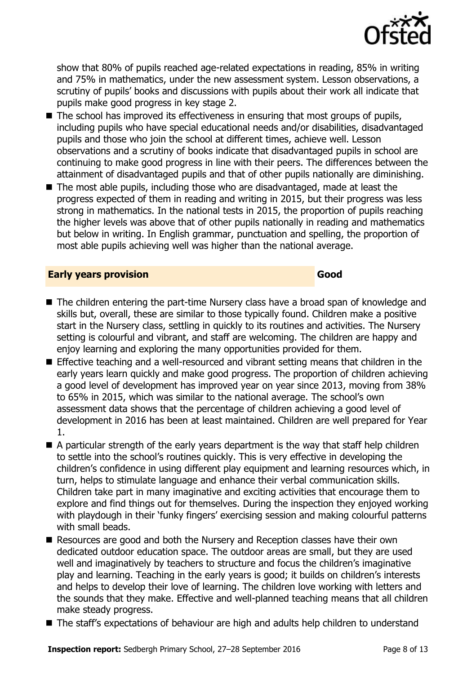

show that 80% of pupils reached age-related expectations in reading, 85% in writing and 75% in mathematics, under the new assessment system. Lesson observations, a scrutiny of pupils' books and discussions with pupils about their work all indicate that pupils make good progress in key stage 2.

- $\blacksquare$  The school has improved its effectiveness in ensuring that most groups of pupils, including pupils who have special educational needs and/or disabilities, disadvantaged pupils and those who join the school at different times, achieve well. Lesson observations and a scrutiny of books indicate that disadvantaged pupils in school are continuing to make good progress in line with their peers. The differences between the attainment of disadvantaged pupils and that of other pupils nationally are diminishing.
- The most able pupils, including those who are disadvantaged, made at least the progress expected of them in reading and writing in 2015, but their progress was less strong in mathematics. In the national tests in 2015, the proportion of pupils reaching the higher levels was above that of other pupils nationally in reading and mathematics but below in writing. In English grammar, punctuation and spelling, the proportion of most able pupils achieving well was higher than the national average.

#### **Early years provision Good Good**

- The children entering the part-time Nursery class have a broad span of knowledge and skills but, overall, these are similar to those typically found. Children make a positive start in the Nursery class, settling in quickly to its routines and activities. The Nursery setting is colourful and vibrant, and staff are welcoming. The children are happy and enjoy learning and exploring the many opportunities provided for them.
- Effective teaching and a well-resourced and vibrant setting means that children in the early years learn quickly and make good progress. The proportion of children achieving a good level of development has improved year on year since 2013, moving from 38% to 65% in 2015, which was similar to the national average. The school's own assessment data shows that the percentage of children achieving a good level of development in 2016 has been at least maintained. Children are well prepared for Year 1.
- A particular strength of the early years department is the way that staff help children to settle into the school's routines quickly. This is very effective in developing the children's confidence in using different play equipment and learning resources which, in turn, helps to stimulate language and enhance their verbal communication skills. Children take part in many imaginative and exciting activities that encourage them to explore and find things out for themselves. During the inspection they enjoyed working with playdough in their 'funky fingers' exercising session and making colourful patterns with small beads.
- Resources are good and both the Nursery and Reception classes have their own dedicated outdoor education space. The outdoor areas are small, but they are used well and imaginatively by teachers to structure and focus the children's imaginative play and learning. Teaching in the early years is good; it builds on children's interests and helps to develop their love of learning. The children love working with letters and the sounds that they make. Effective and well-planned teaching means that all children make steady progress.
- The staff's expectations of behaviour are high and adults help children to understand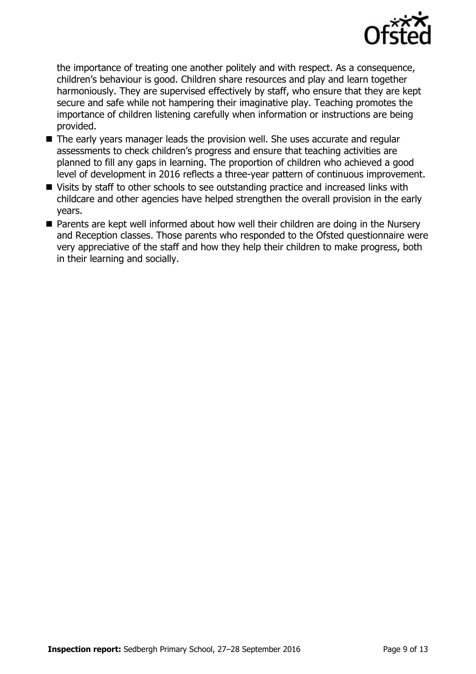

the importance of treating one another politely and with respect. As a consequence, children's behaviour is good. Children share resources and play and learn together harmoniously. They are supervised effectively by staff, who ensure that they are kept secure and safe while not hampering their imaginative play. Teaching promotes the importance of children listening carefully when information or instructions are being provided.

- The early years manager leads the provision well. She uses accurate and regular assessments to check children's progress and ensure that teaching activities are planned to fill any gaps in learning. The proportion of children who achieved a good level of development in 2016 reflects a three-year pattern of continuous improvement.
- Visits by staff to other schools to see outstanding practice and increased links with childcare and other agencies have helped strengthen the overall provision in the early years.
- Parents are kept well informed about how well their children are doing in the Nursery and Reception classes. Those parents who responded to the Ofsted questionnaire were very appreciative of the staff and how they help their children to make progress, both in their learning and socially.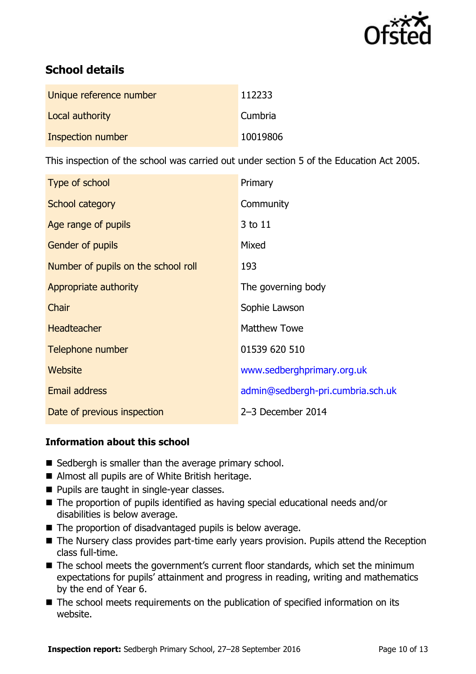

# **School details**

| Unique reference number | 112233         |
|-------------------------|----------------|
| Local authority         | <b>Cumbria</b> |
| Inspection number       | 10019806       |

This inspection of the school was carried out under section 5 of the Education Act 2005.

| Type of school                      | Primary                           |
|-------------------------------------|-----------------------------------|
| School category                     | Community                         |
| Age range of pupils                 | 3 to 11                           |
| <b>Gender of pupils</b>             | Mixed                             |
| Number of pupils on the school roll | 193                               |
| Appropriate authority               | The governing body                |
| Chair                               | Sophie Lawson                     |
| <b>Headteacher</b>                  | <b>Matthew Towe</b>               |
| Telephone number                    | 01539 620 510                     |
| Website                             | www.sedberghprimary.org.uk        |
| <b>Email address</b>                | admin@sedbergh-pri.cumbria.sch.uk |
| Date of previous inspection         | 2-3 December 2014                 |

### **Information about this school**

- $\blacksquare$  Sedbergh is smaller than the average primary school.
- Almost all pupils are of White British heritage.
- **Pupils are taught in single-year classes.**
- The proportion of pupils identified as having special educational needs and/or disabilities is below average.
- $\blacksquare$  The proportion of disadvantaged pupils is below average.
- The Nursery class provides part-time early years provision. Pupils attend the Reception class full-time.
- The school meets the government's current floor standards, which set the minimum expectations for pupils' attainment and progress in reading, writing and mathematics by the end of Year 6.
- The school meets requirements on the publication of specified information on its website.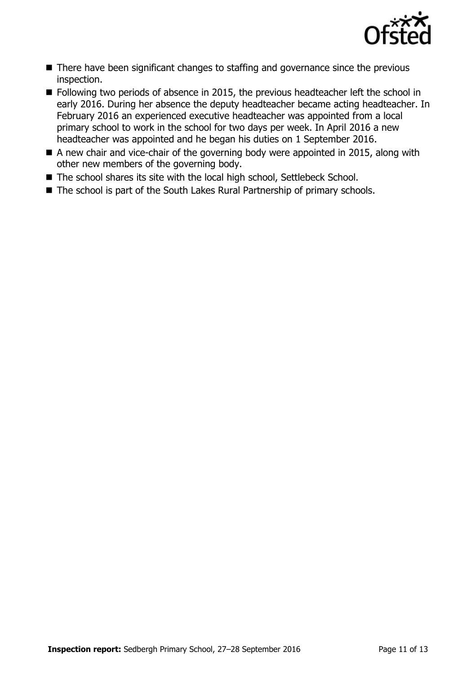

- There have been significant changes to staffing and governance since the previous inspection.
- Following two periods of absence in 2015, the previous headteacher left the school in early 2016. During her absence the deputy headteacher became acting headteacher. In February 2016 an experienced executive headteacher was appointed from a local primary school to work in the school for two days per week. In April 2016 a new headteacher was appointed and he began his duties on 1 September 2016.
- A new chair and vice-chair of the governing body were appointed in 2015, along with other new members of the governing body.
- The school shares its site with the local high school, Settlebeck School.
- The school is part of the South Lakes Rural Partnership of primary schools.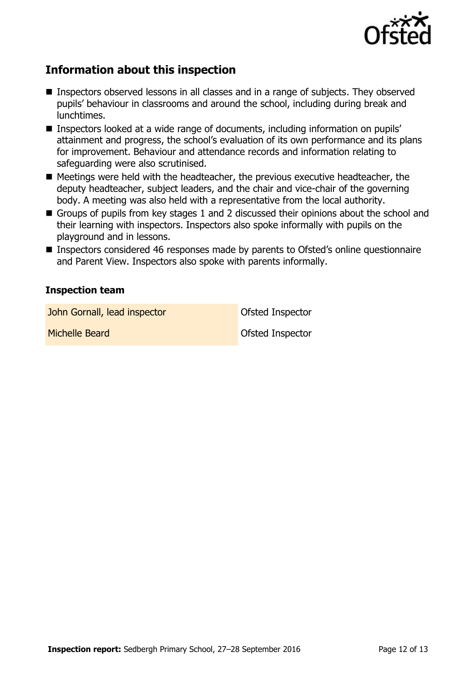

## **Information about this inspection**

- Inspectors observed lessons in all classes and in a range of subjects. They observed pupils' behaviour in classrooms and around the school, including during break and lunchtimes.
- Inspectors looked at a wide range of documents, including information on pupils' attainment and progress, the school's evaluation of its own performance and its plans for improvement. Behaviour and attendance records and information relating to safeguarding were also scrutinised.
- Meetings were held with the headteacher, the previous executive headteacher, the deputy headteacher, subject leaders, and the chair and vice-chair of the governing body. A meeting was also held with a representative from the local authority.
- Groups of pupils from key stages 1 and 2 discussed their opinions about the school and their learning with inspectors. Inspectors also spoke informally with pupils on the playground and in lessons.
- Inspectors considered 46 responses made by parents to Ofsted's online questionnaire and Parent View. Inspectors also spoke with parents informally.

#### **Inspection team**

**John Gornall, lead inspector Constanting Constanting Constanting Constanting Constanting Constanting Constanting Constanting Constanting Constanting Constanting Constanting Constanting Constanting Constanting Constantin** 

Michelle Beard **Ofsted Inspector**